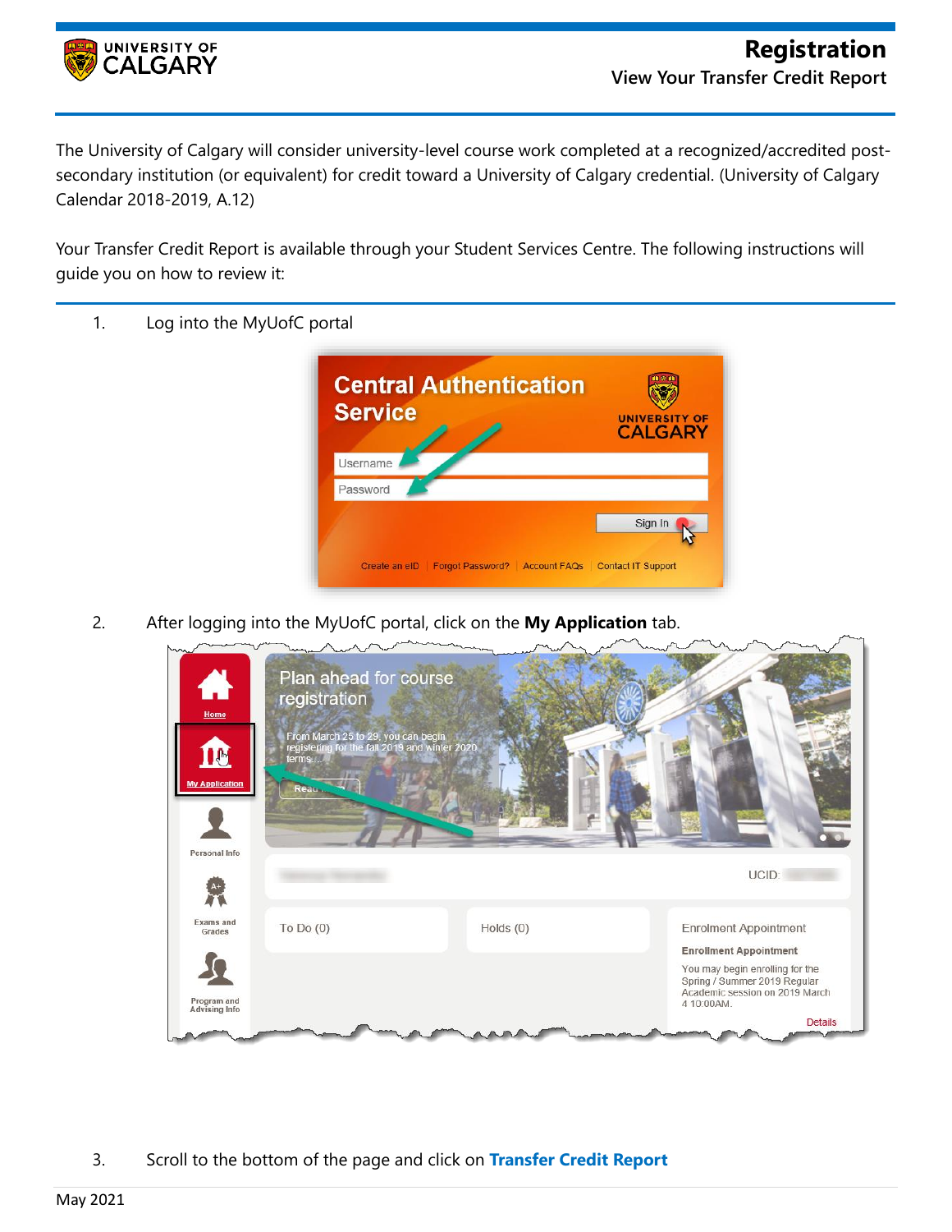

The University of Calgary will consider university-level course work completed at a recognized/accredited postsecondary institution (or equivalent) for credit toward a University of Calgary credential. (University of Calgary Calendar 2018-2019, A.12)

Your Transfer Credit Report is available through your Student Services Centre. The following instructions will guide you on how to review it:

- **Central Authentication**  $\sqrt{2}$ **Service** UNIVERSITY OF **CALGARY** Username Password Sign In Create an eID | Forgot Password? | Account FAQs | Contact IT Support
- 1. Log into the MyUofC portal

2. After logging into the MyUofC portal, click on the **My Application** tab.



3. Scroll to the bottom of the page and click on **Transfer Credit Report**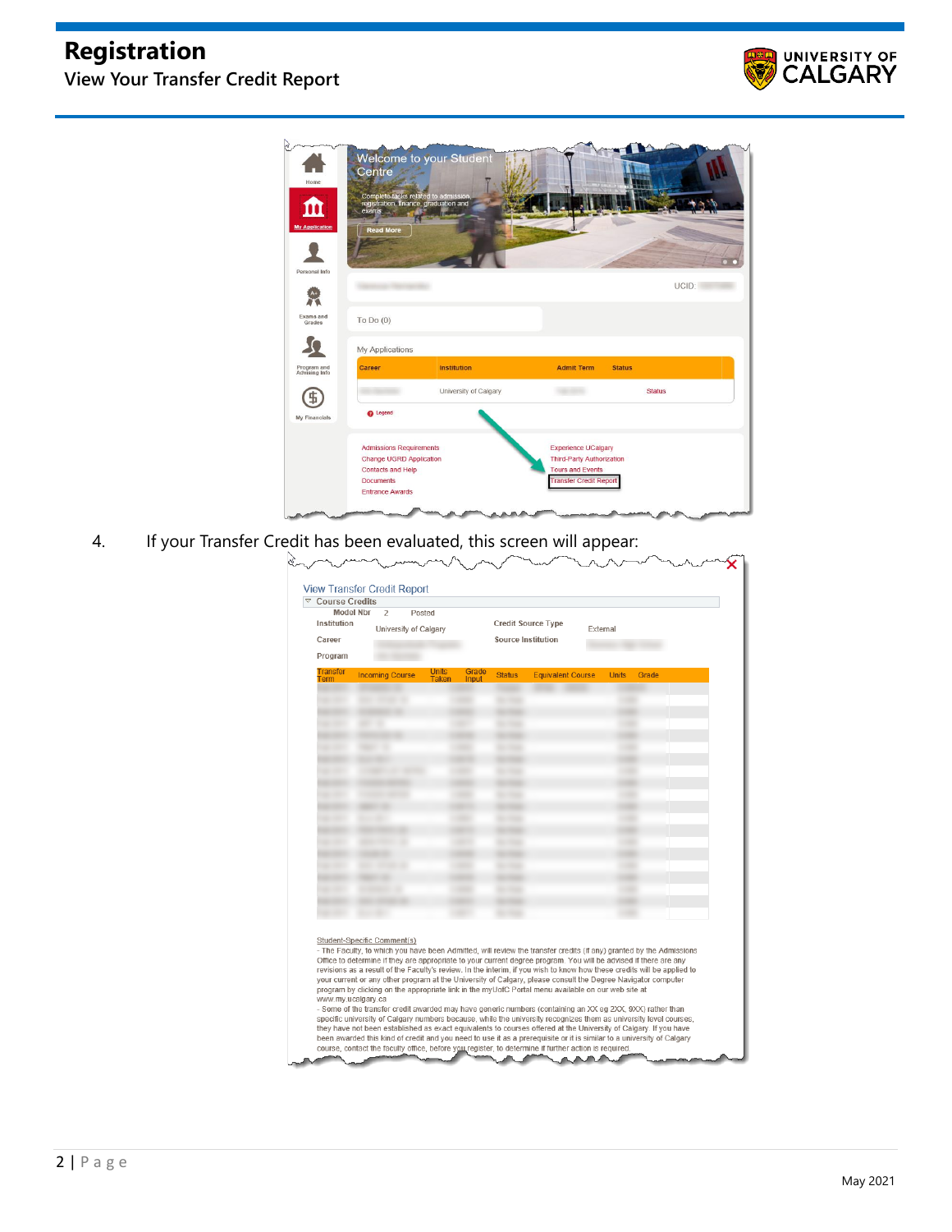## **Registration View Your Transfer Credit Report**





4. If your Transfer Credit has been evaluated, this screen will appear:

| Institution<br>Career<br>Program | <b>Model Nbr</b><br>$\overline{2}$                                                                                                                                    | Posted<br>University of Calgary |                        | Credit Source Type<br>External<br><b>Source Institution</b>                                                                                                                                                                                                                                                                                                                                                                                                                                                                                                                                                                                                                                                                                                                                                                |              |       |  |
|----------------------------------|-----------------------------------------------------------------------------------------------------------------------------------------------------------------------|---------------------------------|------------------------|----------------------------------------------------------------------------------------------------------------------------------------------------------------------------------------------------------------------------------------------------------------------------------------------------------------------------------------------------------------------------------------------------------------------------------------------------------------------------------------------------------------------------------------------------------------------------------------------------------------------------------------------------------------------------------------------------------------------------------------------------------------------------------------------------------------------------|--------------|-------|--|
| <b>Transfer</b><br>Term          | <b>Incoming Course</b>                                                                                                                                                | <b>Units</b><br>Taken<br>Input  | Grade<br><b>Status</b> | <b>Equivalent Course</b>                                                                                                                                                                                                                                                                                                                                                                                                                                                                                                                                                                                                                                                                                                                                                                                                   | <b>Units</b> | Grade |  |
|                                  | <b>SECONDA DE</b><br><b><i>SECTION CO.</i></b>                                                                                                                        |                                 | <b>SECTION</b>         |                                                                                                                                                                                                                                                                                                                                                                                                                                                                                                                                                                                                                                                                                                                                                                                                                            |              |       |  |
|                                  |                                                                                                                                                                       |                                 |                        |                                                                                                                                                                                                                                                                                                                                                                                                                                                                                                                                                                                                                                                                                                                                                                                                                            |              |       |  |
|                                  |                                                                                                                                                                       |                                 |                        |                                                                                                                                                                                                                                                                                                                                                                                                                                                                                                                                                                                                                                                                                                                                                                                                                            |              |       |  |
|                                  |                                                                                                                                                                       |                                 |                        |                                                                                                                                                                                                                                                                                                                                                                                                                                                                                                                                                                                                                                                                                                                                                                                                                            |              |       |  |
|                                  | <b>STATE OF</b>                                                                                                                                                       |                                 |                        |                                                                                                                                                                                                                                                                                                                                                                                                                                                                                                                                                                                                                                                                                                                                                                                                                            |              |       |  |
|                                  |                                                                                                                                                                       |                                 |                        |                                                                                                                                                                                                                                                                                                                                                                                                                                                                                                                                                                                                                                                                                                                                                                                                                            |              |       |  |
|                                  | <b>COMMERCIAL CONTRACT</b>                                                                                                                                            |                                 |                        |                                                                                                                                                                                                                                                                                                                                                                                                                                                                                                                                                                                                                                                                                                                                                                                                                            |              |       |  |
|                                  | <b>STEPHEN CONTRACT</b>                                                                                                                                               |                                 | <b>SECTION</b>         |                                                                                                                                                                                                                                                                                                                                                                                                                                                                                                                                                                                                                                                                                                                                                                                                                            |              |       |  |
|                                  | -                                                                                                                                                                     |                                 |                        |                                                                                                                                                                                                                                                                                                                                                                                                                                                                                                                                                                                                                                                                                                                                                                                                                            |              |       |  |
|                                  | <b>STATISTICS</b>                                                                                                                                                     |                                 | <b>SECTION</b>         |                                                                                                                                                                                                                                                                                                                                                                                                                                                                                                                                                                                                                                                                                                                                                                                                                            |              |       |  |
|                                  |                                                                                                                                                                       |                                 |                        |                                                                                                                                                                                                                                                                                                                                                                                                                                                                                                                                                                                                                                                                                                                                                                                                                            |              |       |  |
|                                  | and come of the                                                                                                                                                       |                                 | <b>SECTION</b>         |                                                                                                                                                                                                                                                                                                                                                                                                                                                                                                                                                                                                                                                                                                                                                                                                                            |              |       |  |
|                                  |                                                                                                                                                                       |                                 |                        |                                                                                                                                                                                                                                                                                                                                                                                                                                                                                                                                                                                                                                                                                                                                                                                                                            |              |       |  |
| <b>Services</b>                  | <b>STATISTICS</b>                                                                                                                                                     |                                 | <b>SECTION</b>         |                                                                                                                                                                                                                                                                                                                                                                                                                                                                                                                                                                                                                                                                                                                                                                                                                            |              |       |  |
| <b>SALES CREEK</b>               | ۰<br><b>STATISTICS</b>                                                                                                                                                |                                 | <b>SECTION</b>         |                                                                                                                                                                                                                                                                                                                                                                                                                                                                                                                                                                                                                                                                                                                                                                                                                            |              |       |  |
|                                  |                                                                                                                                                                       |                                 |                        |                                                                                                                                                                                                                                                                                                                                                                                                                                                                                                                                                                                                                                                                                                                                                                                                                            |              |       |  |
|                                  |                                                                                                                                                                       |                                 |                        |                                                                                                                                                                                                                                                                                                                                                                                                                                                                                                                                                                                                                                                                                                                                                                                                                            |              |       |  |
|                                  | Student-Specific Comment(s)<br>www.my.ucalgary.ca<br>they have not been established as exact equivalents to courses offered at the University of Calgary. If you have |                                 |                        | - The Faculty, to which you have been Admitted, will review the transfer credits (if any) granted by the Admissions<br>Office to determine if they are appropriate to your current degree program. You will be advised if there are any<br>revisions as a result of the Faculty's review. In the interim, if you wish to know how these credits will be applied to<br>your current or any other program at the University of Calgary, please consult the Degree Navigator computer<br>program by clicking on the appropriate link in the myUofC Portal menu available on our web site at<br>- Some of the transfer credit awarded may have generic numbers (containing an XX eg 2XX, 9XX) rather than<br>specific university of Calgary numbers because, while the university recognizes them as university level courses, |              |       |  |